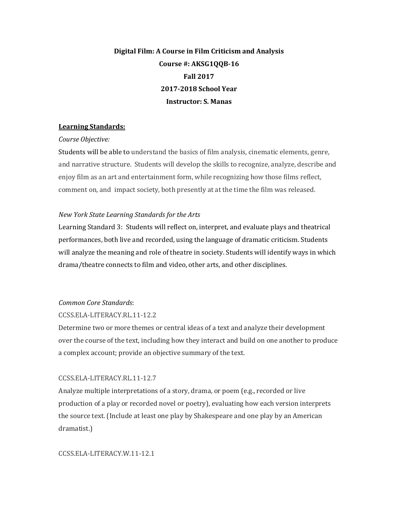# **Digital Film: A Course in Film Criticism and Analysis** Course #: AKSG1QQB-16 **Fall 2017 2017-2018 School Year Instructor: S. Manas**

### **Learning Standards:**

#### *Course Objective:*

Students will be able to understand the basics of film analysis, cinematic elements, genre, and narrative structure. Students will develop the skills to recognize, analyze, describe and enjoy film as an art and entertainment form, while recognizing how those films reflect, comment on, and impact society, both presently at at the time the film was released.

#### *New York State Learning Standards for the Arts*

Learning Standard 3: Students will reflect on, interpret, and evaluate plays and theatrical performances, both live and recorded, using the language of dramatic criticism. Students will analyze the meaning and role of theatre in society. Students will identify ways in which drama/theatre connects to film and video, other arts, and other disciplines.

#### *Common Core Standards*:

#### CCSS.ELA-LITERACY.RL.11-12.2

Determine two or more themes or central ideas of a text and analyze their development over the course of the text, including how they interact and build on one another to produce a complex account; provide an objective summary of the text.

## CCSS.ELA-LITERACY.RL.11-12.7

Analyze multiple interpretations of a story, drama, or poem  $(e.g.,$  recorded or live production of a play or recorded novel or poetry), evaluating how each version interprets the source text. (Include at least one play by Shakespeare and one play by an American dramatist.)

#### CCSS.ELA-LITERACY.W.11-12.1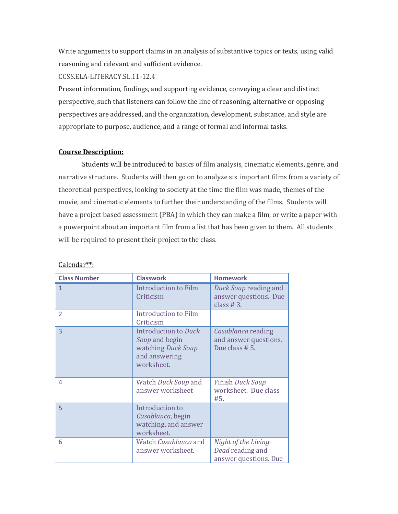Write arguments to support claims in an analysis of substantive topics or texts, using valid reasoning and relevant and sufficient evidence.

CCSS.ELA-LITERACY.SL.11-12.4

Present information, findings, and supporting evidence, conveying a clear and distinct perspective, such that listeners can follow the line of reasoning, alternative or opposing perspectives are addressed, and the organization, development, substance, and style are appropriate to purpose, audience, and a range of formal and informal tasks.

## **Course Description:**

Students will be introduced to basics of film analysis, cinematic elements, genre, and narrative structure. Students will then go on to analyze six important films from a variety of theoretical perspectives, looking to society at the time the film was made, themes of the movie, and cinematic elements to further their understanding of the films. Students will have a project based assessment (PBA) in which they can make a film, or write a paper with a powerpoint about an important film from a list that has been given to them. All students will be required to present their project to the class.

| <b>Class Number</b>      | <b>Classwork</b>                                                                                   | <b>Homework</b>                                                  |
|--------------------------|----------------------------------------------------------------------------------------------------|------------------------------------------------------------------|
| 1                        | <b>Introduction to Film</b><br>Criticism                                                           | Duck Soup reading and<br>answer questions. Due<br>class $# 3.$   |
| $\overline{\phantom{a}}$ | Introduction to Film<br>Criticism                                                                  |                                                                  |
| 3                        | <b>Introduction to Duck</b><br>Soup and begin<br>watching Duck Soup<br>and answering<br>worksheet. | Casablanca reading<br>and answer questions.<br>Due class # 5.    |
| 4                        | Watch Duck Soup and<br>answer worksheet                                                            | <b>Finish Duck Soup</b><br>worksheet. Due class<br>#5.           |
| 5                        | Introduction to<br>Casablanca, begin<br>watching, and answer<br>worksheet.                         |                                                                  |
| 6                        | Watch Casablanca and<br>answer worksheet.                                                          | Night of the Living<br>Dead reading and<br>answer questions. Due |

Calendar\*\*: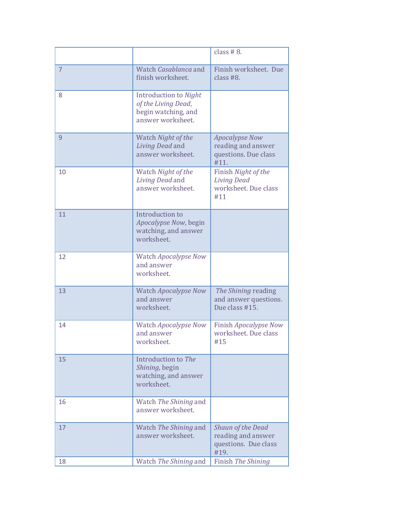|                |                                                                                          | class $#8$ .                                                                |
|----------------|------------------------------------------------------------------------------------------|-----------------------------------------------------------------------------|
| $\overline{7}$ | Watch Casablanca and<br>finish worksheet.                                                | Finish worksheet. Due<br>class $#8$ .                                       |
| 8              | Introduction to Night<br>of the Living Dead,<br>begin watching, and<br>answer worksheet. |                                                                             |
| 9              | Watch Night of the<br>Living Dead and<br>answer worksheet.                               | <b>Apocalypse Now</b><br>reading and answer<br>questions. Due class<br>#11. |
| 10             | Watch Night of the<br>Living Dead and<br>answer worksheet.                               | Finish Night of the<br><b>Living Dead</b><br>worksheet. Due class<br>#11    |
| 11             | Introduction to<br>Apocalypse Now, begin<br>watching, and answer<br>worksheet.           |                                                                             |
| 12             | Watch Apocalypse Now<br>and answer<br>worksheet.                                         |                                                                             |
| 13             | <b>Watch Apocalypse Now</b><br>and answer<br>worksheet.                                  | The Shining reading<br>and answer questions.<br>Due class #15.              |
| 14             | Watch Apocalypse Now<br>and answer<br>worksheet.                                         | Finish Apocalypse Now<br>worksheet. Due class<br>#15                        |
| 15             | Introduction to The<br>Shining, begin<br>watching, and answer<br>worksheet.              |                                                                             |
| 16             | Watch The Shining and<br>answer worksheet.                                               |                                                                             |
| 17             | Watch The Shining and<br>answer worksheet.                                               | Shaun of the Dead<br>reading and answer<br>questions. Due class<br>#19.     |
| 18             | Watch The Shining and                                                                    | Finish The Shining                                                          |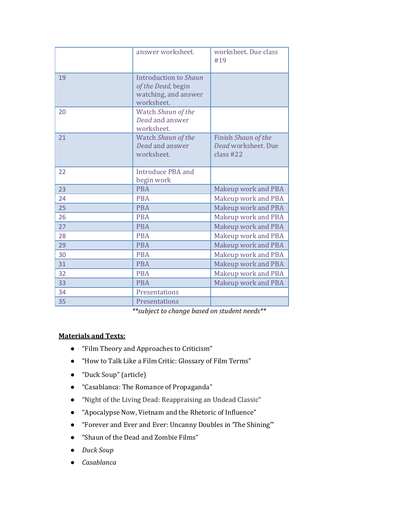|    | answer worksheet.                                                                 | worksheet. Due class<br>#19                             |
|----|-----------------------------------------------------------------------------------|---------------------------------------------------------|
| 19 | Introduction to Shaun<br>of the Dead, begin<br>watching, and answer<br>worksheet. |                                                         |
| 20 | Watch Shaun of the<br>Dead and answer<br>worksheet.                               |                                                         |
| 21 | Watch Shaun of the<br>Dead and answer<br>worksheet.                               | Finish Shaun of the<br>Dead worksheet. Due<br>class #22 |
| 22 | <b>Introduce PBA and</b><br>begin work                                            |                                                         |
| 23 | <b>PRA</b>                                                                        | <b>Makeup work and PBA</b>                              |
| 24 | <b>PBA</b>                                                                        | Makeup work and PBA                                     |
| 25 | <b>PBA</b>                                                                        | <b>Makeup work and PBA</b>                              |
| 26 | <b>PRA</b>                                                                        | Makeup work and PBA                                     |
| 27 | <b>PBA</b>                                                                        | Makeup work and PBA                                     |
| 28 | <b>PBA</b>                                                                        | Makeup work and PBA                                     |
| 29 | <b>PBA</b>                                                                        | Makeup work and PBA                                     |
| 30 | <b>PBA</b>                                                                        | Makeup work and PBA                                     |
| 31 | <b>PBA</b>                                                                        | Makeup work and PBA                                     |
| 32 | <b>PBA</b>                                                                        | Makeup work and PBA                                     |
| 33 | <b>PBA</b>                                                                        | Makeup work and PBA                                     |
| 34 | Presentations                                                                     |                                                         |
| 35 | Presentations                                                                     |                                                         |

*\*\*subject to change based on student needs\*\**

## **Materials and Texts:**

- "Film Theory and Approaches to Criticism"
- "How to Talk Like a Film Critic: Glossary of Film Terms"
- "Duck Soup" (article)
- "Casablanca: The Romance of Propaganda"
- "Night of the Living Dead: Reappraising an Undead Classic"
- "Apocalypse Now, Vietnam and the Rhetoric of Influence"
- "Forever and Ever and Ever: Uncanny Doubles in 'The Shining'"
- "Shaun of the Dead and Zombie Films"
- *Duck Soup*
- *Casablanca*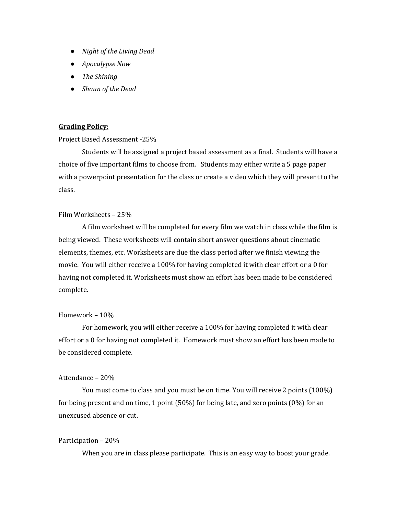- *Night of the Living Dead*
- *Apocalypse Now*
- *The Shining*
- **•** *Shaun of the Dead*

#### **Grading Policy:**

#### Project Based Assessment -25%

Students will be assigned a project based assessment as a final. Students will have a choice of five important films to choose from. Students may either write a 5 page paper with a powerpoint presentation for the class or create a video which they will present to the class.

#### Film Worksheets - 25%

A film worksheet will be completed for every film we watch in class while the film is being viewed. These worksheets will contain short answer questions about cinematic elements, themes, etc. Worksheets are due the class period after we finish viewing the movie. You will either receive a 100% for having completed it with clear effort or a 0 for having not completed it. Worksheets must show an effort has been made to be considered complete.

#### Homework - 10%

For homework, you will either receive a 100% for having completed it with clear effort or a 0 for having not completed it. Homework must show an effort has been made to be considered complete.

#### Attendance - 20%

You must come to class and you must be on time. You will receive 2 points (100%) for being present and on time, 1 point  $(50\%)$  for being late, and zero points  $(0\%)$  for an unexcused absence or cut. 

#### Participation – 20%

When you are in class please participate. This is an easy way to boost your grade.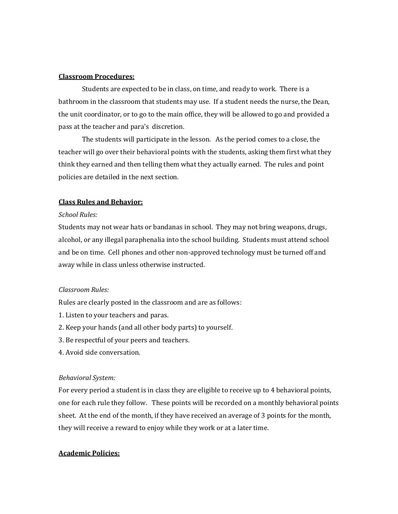#### **Classroom Procedures:**

Students are expected to be in class, on time, and ready to work. There is a bathroom in the classroom that students may use. If a student needs the nurse, the Dean, the unit coordinator, or to go to the main office, they will be allowed to go and provided a pass at the teacher and para's discretion.

The students will participate in the lesson. As the period comes to a close, the teacher will go over their behavioral points with the students, asking them first what they think they earned and then telling them what they actually earned. The rules and point policies are detailed in the next section.

#### **Class Rules and Behavior:**

#### *School Rules:*

Students may not wear hats or bandanas in school. They may not bring weapons, drugs, alcohol, or any illegal paraphenalia into the school building. Students must attend school and be on time. Cell phones and other non-approved technology must be turned off and away while in class unless otherwise instructed.

#### *Classroom Rules:*

Rules are clearly posted in the classroom and are as follows:

- 1. Listen to your teachers and paras.
- 2. Keep your hands (and all other body parts) to yourself.
- 3. Be respectful of your peers and teachers.
- 4. Avoid side conversation.

#### *Behavioral System:*

For every period a student is in class they are eligible to receive up to 4 behavioral points, one for each rule they follow. These points will be recorded on a monthly behavioral points sheet. At the end of the month, if they have received an average of 3 points for the month, they will receive a reward to enjoy while they work or at a later time.

#### **Academic Policies:**